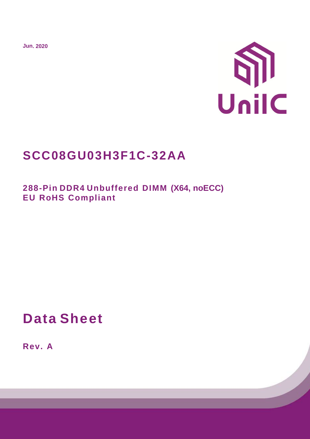**Jun. 2020**



# **SCC08GU03H3F1C-32AA**

**288-Pin DDR4 Unbuffered DIMM (X64, noECC) EU RoHS Compliant**

# **Data Sheet**

**Rev. A**

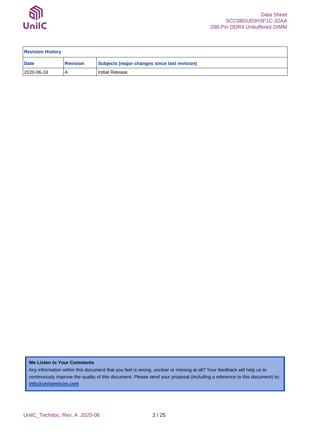

| <b>Revision History</b> |                 |                                              |
|-------------------------|-----------------|----------------------------------------------|
| <b>Date</b>             | <b>Revision</b> | Subjects (major changes since last revision) |
| 2020-06-18              |                 | I Initial Release                            |

**We Listen to Your Comments**

Any information within this document that you feel is wrong, unclear or missing at all? Your feedback will help us to continuously improve the quality of this document. Please send your proposal (including a reference to this document) to: **[info@unisemicon.com](mailto:info@scsemicon.com)**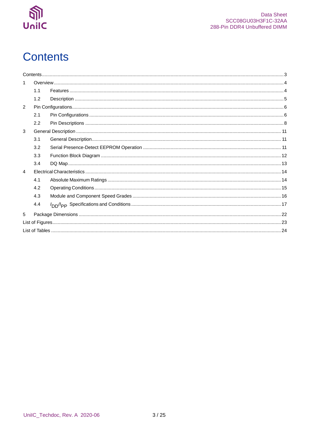

# <span id="page-2-0"></span>**Contents**

|                | 1.1 |  |
|----------------|-----|--|
|                | 1.2 |  |
| $\mathcal{P}$  |     |  |
|                | 2.1 |  |
|                | 2.2 |  |
| 3              |     |  |
|                | 3.1 |  |
|                | 3.2 |  |
|                | 3.3 |  |
|                | 3.4 |  |
| $\overline{4}$ |     |  |
|                | 4.1 |  |
|                | 4.2 |  |
|                | 4.3 |  |
|                | 4.4 |  |
| 5              |     |  |
|                |     |  |
|                |     |  |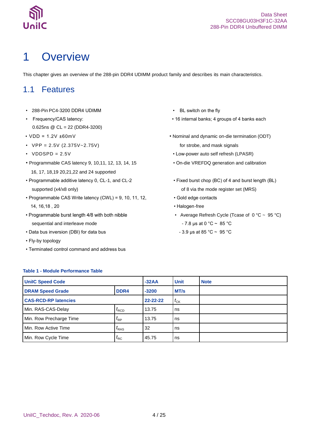

# <span id="page-3-0"></span>1 Overview

This chapter gives an overview of the 288-pin DDR4 UDIMM product family and describes its main characteristics.

## <span id="page-3-1"></span>1.1 Features

- 288-Pin PC4-3200 DDR4 UDIMM BL switch on the fly
- 0.625ns @ CL = 22 (DDR4-3200)
- 
- VPP = 2.5V (2.375V~2.75V) for strobe, and mask signals
- 
- Programmable CAS latency 9, 10,11, 12, 13, 14, 15 On-die VREFDQ generation and calibration 16, 17, 18,19 20,21,22 and 24 supported
- Programmable additive latency 0, CL-1, and CL-2 Fixed burst chop (BC) of 4 and burst length (BL) supported (x4/x8 only) supported (x4/x8 only) of 8 via the mode register set (MRS)
- Programmable CAS Write latency (CWL) = 9, 10, 11, 12, Gold edge contacts 14, 16,18 , 20 • Halogen-free
- Programmable burst length 4/8 with both nibble sequential and interleave mode  $- 7.8 \text{ }\mu\text{s}$  at 0  $^{\circ}\text{C} \sim 85 \text{ }^{\circ}\text{C}$
- Data bus inversion (DBI) for data bus  $-3.9 \mu s$  at 85 °C ~ 95 °C
- Fly-by topology
- Terminated control command and address bus
- 
- Frequency/CAS latency: 16 internal banks; 4 groups of 4 banks each
- VDD = 1.2V ±60mV Nominal and dynamic on-die termination (ODT)
- VDDSPD = 2.5V Low-power auto self refresh (LPASR)
	-
	-
	-
	-
	- Average Refresh Cycle (Tcase of  $0^{\circ}$ C ~ 95 °C)
	-

| <b>UnilC Speed Code</b>     |                    | $-32AA$        | <b>Unit</b>                         | <b>Note</b> |
|-----------------------------|--------------------|----------------|-------------------------------------|-------------|
| <b>DRAM Speed Grade</b>     | DDR4               | $-3200$        | MT/s                                |             |
| <b>CAS-RCD-RP latencies</b> |                    | $22 - 22 - 22$ | $t_{\scriptscriptstyle{\text{CK}}}$ |             |
| Min. RAS-CAS-Delay          | $I_{\mathsf{RCD}}$ | 13.75          | ns                                  |             |
| Min. Row Precharge Time     | $t_{\mathsf{RP}}$  | 13.75          | ns                                  |             |
| Min. Row Active Time        | $I_{RAS}$          | 32             | ns                                  |             |
| Min. Row Cycle Time         | $t_{\sf RC}$       | 45.75          | ns                                  |             |

## <span id="page-3-2"></span>**Table 1 - Module Performance Table**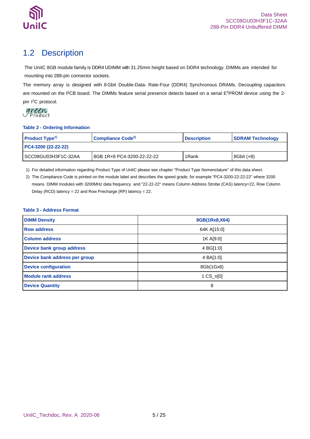

## <span id="page-4-0"></span>1.2 Description

The UniIC 8GB module family is DDR4 UDIMM with 31.25mm height based on DDR4 technology. DIMMs are intended for mounting into 288-pin connector sockets.

The memory array is designed with 8 Gbit Double-Data- Rate-Four (DDR4) Synchronous DRAMs. Decoupling capacitors are mounted on the PCB board. The DIMMs feature serial presence detects based on a serial E<sup>2</sup>PROM device using the 2pin I <sup>2</sup>C protocol.

### <span id="page-4-1"></span>**Table 2 - Ordering Information**

| Product Type <sup>1)</sup> | Compliance Code <sup>2)</sup> | <b>Description</b> | <b>SDRAM Technology</b> |  |
|----------------------------|-------------------------------|--------------------|-------------------------|--|
| PC4-3200 (22-22-22)        |                               |                    |                         |  |
| SCC08GU03H3F1C-32AA        | 8GB 1R×8 PC4-3200-22-22-22    | 1Rank              | 8Gbit $(x8)$            |  |

1) For detailed information regarding Product Type of UniIC please see chapter "Product Type Nomenclature" of this data sheet.

2) The Compliance Code is printed on the module label and describes the speed grade, for example "PC4-3200-22-22-22" where 3200 means DIMM modules with 3200MHz data frequency and "22-22-22" means Column Address Strobe (CAS) latency=22, Row Column Delay (RCD) latency = 22 and Row Precharge (RP) latency = 22.

### <span id="page-4-2"></span>**Table 3 - Address Format**

| <b>DIMM Density</b>           | 8GB(1Rx8,X64)      |
|-------------------------------|--------------------|
| <b>Row address</b>            | 64K A[15:0]        |
| <b>Column address</b>         | 1K A[9:0]          |
| Device bank group address     | 4 BG[1:0]          |
| Device bank address per group | 4 BA[1:0]          |
| <b>Device configuration</b>   | 8Gb(1Gx8)          |
| <b>Module rank address</b>    | $1 \text{CS}_n[0]$ |
| <b>Device Quantity</b>        | 8                  |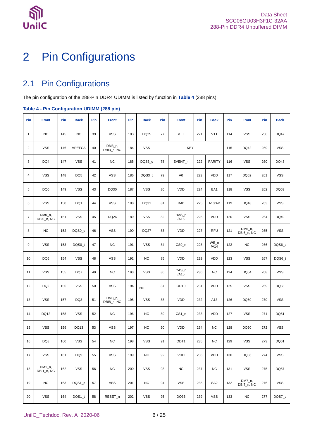

# <span id="page-5-0"></span>2 Pin Configurations

## <span id="page-5-1"></span>2.1 Pin Configurations

The pin configuration of the 288-Pin DDR4 UDIMM is listed by function in **[Table 4](#page-5-2)** (288 pins).

### <span id="page-5-2"></span>**Table 4 - Pin Configuration UDIMM (288 pin)**

| Pin            | <b>Front</b>          | Pin | <b>Back</b>     | Pin | <b>Front</b>         | Pin | <b>Back</b> | Pin | <b>Front</b>                | Pin | <b>Back</b>     | Pin | <b>Front</b>          | Pin | <b>Back</b> |
|----------------|-----------------------|-----|-----------------|-----|----------------------|-----|-------------|-----|-----------------------------|-----|-----------------|-----|-----------------------|-----|-------------|
| $\mathbf{1}$   | <b>NC</b>             | 145 | <b>NC</b>       | 39  | <b>VSS</b>           | 183 | DQ25        | 77  | <b>VTT</b>                  | 221 | <b>VTT</b>      | 114 | <b>VSS</b>            | 258 | <b>DQ47</b> |
| $\overline{2}$ | <b>VSS</b>            | 146 | <b>VREFCA</b>   | 40  | DM3_n,<br>DBI3 n, NC | 184 | <b>VSS</b>  |     | <b>KEY</b>                  |     |                 | 115 | DQ42                  | 259 | <b>VSS</b>  |
| 3              | DQ4                   | 147 | <b>VSS</b>      | 41  | <b>NC</b>            | 185 | DQS3_c      | 78  | EVENT_n                     | 222 | <b>PARITY</b>   | 116 | <b>VSS</b>            | 260 | DQ43        |
| 4              | <b>VSS</b>            | 148 | DQ <sub>5</sub> | 42  | <b>VSS</b>           | 186 | DQS3_t      | 79  | A <sub>0</sub>              | 223 | <b>VDD</b>      | 117 | <b>DQ52</b>           | 261 | <b>VSS</b>  |
| 5              | DQ <sub>0</sub>       | 149 | <b>VSS</b>      | 43  | DQ30                 | 187 | <b>VSS</b>  | 80  | <b>VDD</b>                  | 224 | BA1             | 118 | <b>VSS</b>            | 262 | DQ53        |
| 6              | <b>VSS</b>            | 150 | DQ1             | 44  | <b>VSS</b>           | 188 | DQ31        | 81  | BA0                         | 225 | A10/AP          | 119 | DQ48                  | 263 | <b>VSS</b>  |
| $\overline{7}$ | DM0_n,<br>DBI0_n, NC  | 151 | <b>VSS</b>      | 45  | DQ26                 | 189 | <b>VSS</b>  | 82  | $RAS_n$<br>/A16             | 226 | <b>VDD</b>      | 120 | <b>VSS</b>            | 264 | DQ49        |
| 8              | <b>NC</b>             | 152 | DQS0_c          | 46  | <b>VSS</b>           | 190 | <b>DQ27</b> | 83  | <b>VDD</b>                  | 227 | <b>RFU</b>      | 121 | DM6_n,<br>DBI6_n, NC  | 265 | <b>VSS</b>  |
| 9              | <b>VSS</b>            | 153 | DQS0_t          | 47  | <b>NC</b>            | 191 | <b>VSS</b>  | 84  | CS <sub>0</sub> n           | 228 | $WE_n$<br>/AA   | 122 | <b>NC</b>             | 266 | DQS6_c      |
| 10             | DQ <sub>6</sub>       | 154 | <b>VSS</b>      | 48  | <b>VSS</b>           | 192 | <b>NC</b>   | 85  | <b>VDD</b>                  | 229 | <b>VDD</b>      | 123 | <b>VSS</b>            | 267 | DQS6_t      |
| 11             | <b>VSS</b>            | 155 | DQ7             | 49  | <b>NC</b>            | 193 | <b>VSS</b>  | 86  | $CAS_n$<br>/A <sub>15</sub> | 230 | <b>NC</b>       | 124 | <b>DQ54</b>           | 268 | <b>VSS</b>  |
| 12             | DQ <sub>2</sub>       | 156 | <b>VSS</b>      | 50  | <b>VSS</b>           | 194 | <b>NC</b>   | 87  | ODT <sub>0</sub>            | 231 | <b>VDD</b>      | 125 | <b>VSS</b>            | 269 | DQ55        |
| 13             | <b>VSS</b>            | 157 | DQ3             | 51  | DM8_n,<br>DBI8_n, NC | 195 | <b>VSS</b>  | 88  | <b>VDD</b>                  | 232 | A13             | 126 | DQ50                  | 270 | <b>VSS</b>  |
| 14             | DQ12                  | 158 | <b>VSS</b>      | 52  | <b>NC</b>            | 196 | <b>NC</b>   | 89  | $CS1_n$                     | 233 | <b>VDD</b>      | 127 | <b>VSS</b>            | 271 | DQ51        |
| 15             | <b>VSS</b>            | 159 | DQ13            | 53  | <b>VSS</b>           | 197 | <b>NC</b>   | 90  | VDD                         | 234 | <b>NC</b>       | 128 | DQ60                  | 272 | <b>VSS</b>  |
| 16             | DQ8                   | 160 | <b>VSS</b>      | 54  | <b>NC</b>            | 198 | <b>VSS</b>  | 91  | ODT <sub>1</sub>            | 235 | NC.             | 129 | <b>VSS</b>            | 273 | DQ61        |
| 17             | <b>VSS</b>            | 161 | DQ <sub>9</sub> | 55  | <b>VSS</b>           | 199 | <b>NC</b>   | 92  | <b>VDD</b>                  | 236 | VDD             | 130 | DQ56                  | 274 | <b>VSS</b>  |
| 18             | $DM1_n$<br>DBI1_n, NC | 162 | <b>VSS</b>      | 56  | <b>NC</b>            | 200 | <b>VSS</b>  | 93  | NC                          | 237 | <b>NC</b>       | 131 | <b>VSS</b>            | 275 | <b>DQ57</b> |
| 19             | <b>NC</b>             | 163 | DQS1_c          | 57  | <b>VSS</b>           | 201 | <b>NC</b>   | 94  | <b>VSS</b>                  | 238 | SA <sub>2</sub> | 132 | $DM7_n$<br>DBI7 n, NC | 276 | <b>VSS</b>  |
| 20             | <b>VSS</b>            | 164 | DQS1_t          | 58  | RESET n              | 202 | <b>VSS</b>  | 95  | DQ36                        | 239 | <b>VSS</b>      | 133 | <b>NC</b>             | 277 | DQS7_c      |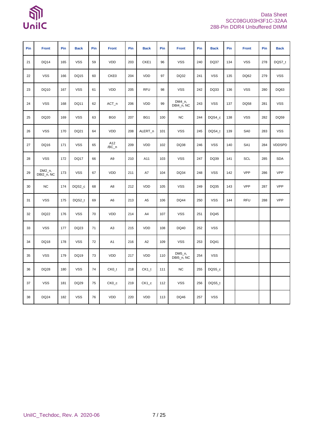# <u> ଶ୍ୱି</u><br><sub>UnilC</sub>

## Data Sheet SCC08GU03H3F1C-32AA 288-Pin DDR4 Unbuffered DIMM

| Pin | <b>Front</b>         | Pin | <b>Back</b> | Pin | <b>Front</b>    | Pin | <b>Back</b>    | Pin | <b>Front</b>            | Pin | <b>Back</b> | Pin | <b>Front</b>    | Pin | <b>Back</b>   |
|-----|----------------------|-----|-------------|-----|-----------------|-----|----------------|-----|-------------------------|-----|-------------|-----|-----------------|-----|---------------|
| 21  | <b>DQ14</b>          | 165 | <b>VSS</b>  | 59  | <b>VDD</b>      | 203 | CKE1           | 96  | <b>VSS</b>              | 240 | DQ37        | 134 | <b>VSS</b>      | 278 | DQS7_t        |
| 22  | <b>VSS</b>           | 166 | <b>DQ15</b> | 60  | CKE0            | 204 | <b>VDD</b>     | 97  | DQ32                    | 241 | <b>VSS</b>  | 135 | DQ62            | 279 | <b>VSS</b>    |
| 23  | DQ10                 | 167 | <b>VSS</b>  | 61  | <b>VDD</b>      | 205 | <b>RFU</b>     | 98  | <b>VSS</b>              | 242 | DQ33        | 136 | <b>VSS</b>      | 280 | DQ63          |
| 24  | <b>VSS</b>           | 168 | DQ11        | 62  | ACT_n           | 206 | <b>VDD</b>     | 99  | $DM4_n$ ,<br>DBI4_n, NC | 243 | <b>VSS</b>  | 137 | DQ58            | 281 | <b>VSS</b>    |
| 25  | DQ20                 | 169 | <b>VSS</b>  | 63  | BG <sub>0</sub> | 207 | BG1            | 100 | <b>NC</b>               | 244 | DQS4_c      | 138 | <b>VSS</b>      | 282 | DQ59          |
| 26  | <b>VSS</b>           | 170 | DQ21        | 64  | <b>VDD</b>      | 208 | ALERT_n        | 101 | <b>VSS</b>              | 245 | DQS4_t      | 139 | SA0             | 283 | <b>VSS</b>    |
| 27  | DQ16                 | 171 | <b>VSS</b>  | 65  | A12<br>/BC_n    | 209 | <b>VDD</b>     | 102 | DQ38                    | 246 | <b>VSS</b>  | 140 | SA <sub>1</sub> | 284 | <b>VDDSPD</b> |
| 28  | <b>VSS</b>           | 172 | <b>DQ17</b> | 66  | A <sub>9</sub>  | 210 | A11            | 103 | <b>VSS</b>              | 247 | DQ39        | 141 | <b>SCL</b>      | 285 | <b>SDA</b>    |
| 29  | DM2_n,<br>DBI2_n, NC | 173 | <b>VSS</b>  | 67  | VDD             | 211 | A7             | 104 | DQ34                    | 248 | <b>VSS</b>  | 142 | <b>VPP</b>      | 286 | <b>VPP</b>    |
| 30  | <b>NC</b>            | 174 | DQS2_c      | 68  | A8              | 212 | VDD            | 105 | <b>VSS</b>              | 249 | DQ35        | 143 | <b>VPP</b>      | 287 | <b>VPP</b>    |
| 31  | <b>VSS</b>           | 175 | DQS2_t      | 69  | A <sub>6</sub>  | 213 | A <sub>5</sub> | 106 | DQ44                    | 250 | <b>VSS</b>  | 144 | <b>RFU</b>      | 288 | VPP           |
| 32  | <b>DQ22</b>          | 176 | <b>VSS</b>  | 70  | <b>VDD</b>      | 214 | A4             | 107 | <b>VSS</b>              | 251 | <b>DQ45</b> |     |                 |     |               |
| 33  | <b>VSS</b>           | 177 | DQ23        | 71  | A <sub>3</sub>  | 215 | <b>VDD</b>     | 108 | DQ40                    | 252 | <b>VSS</b>  |     |                 |     |               |
| 34  | DQ18                 | 178 | <b>VSS</b>  | 72  | A <sub>1</sub>  | 216 | A <sub>2</sub> | 109 | <b>VSS</b>              | 253 | DQ41        |     |                 |     |               |
| 35  | <b>VSS</b>           | 179 | DQ19        | 73  | <b>VDD</b>      | 217 | VDD            | 110 | $DM5_n$<br>DBI5_n, NC   | 254 | <b>VSS</b>  |     |                 |     |               |
| 36  | <b>DQ28</b>          | 180 | <b>VSS</b>  | 74  | CK0_t           | 218 | $CK1_t$        | 111 | <b>NC</b>               | 255 | DQS5_c      |     |                 |     |               |
| 37  | <b>VSS</b>           | 181 | DQ29        | 75  | CK0 c           | 219 | CK1 c          | 112 | <b>VSS</b>              | 256 | DQS5 t      |     |                 |     |               |
| 38  | DQ24                 | 182 | <b>VSS</b>  | 76  | <b>VDD</b>      | 220 | <b>VDD</b>     | 113 | DQ46                    | 257 | <b>VSS</b>  |     |                 |     |               |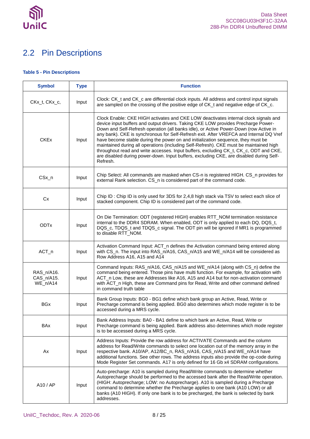

## <span id="page-7-0"></span>2.2 Pin Descriptions

### <span id="page-7-1"></span>**Table 5 - Pin Descriptions**

| <b>Symbol</b>                        | <b>Type</b> | <b>Function</b>                                                                                                                                                                                                                                                                                                                                                                                                                                                                                                                                                                                                                                                                                                                           |
|--------------------------------------|-------------|-------------------------------------------------------------------------------------------------------------------------------------------------------------------------------------------------------------------------------------------------------------------------------------------------------------------------------------------------------------------------------------------------------------------------------------------------------------------------------------------------------------------------------------------------------------------------------------------------------------------------------------------------------------------------------------------------------------------------------------------|
| CKx_t, CKx_c,                        | Input       | Clock: CK_t and CK_c are differential clock inputs. All address and control input signals<br>are sampled on the crossing of the positive edge of CK_t and negative edge of CK_c.                                                                                                                                                                                                                                                                                                                                                                                                                                                                                                                                                          |
| <b>CKEx</b>                          | Input       | Clock Enable: CKE HIGH activates and CKE LOW deactivates internal clock signals and<br>device input buffers and output drivers. Taking CKE LOW provides Precharge Power-<br>Down and Self-Refresh operation (all banks idle), or Active Power-Down (row Active in<br>any bank). CKE is synchronous for Self-Refresh exit. After VREFCA and Internal DQ Vref<br>have become stable during the power on and initialization sequence, they must be<br>maintained during all operations (including Self-Refresh). CKE must be maintained high<br>throughout read and write accesses. Input buffers, excluding CK_t, CK_c, ODT and CKE,<br>are disabled during power-down. Input buffers, excluding CKE, are disabled during Self-<br>Refresh. |
| $CSx_n$                              | Input       | Chip Select: All commands are masked when CS-n is registered HIGH. CS_n provides for<br>external Rank selection. CS_n is considered part of the command code.                                                                                                                                                                                                                                                                                                                                                                                                                                                                                                                                                                             |
| Cx                                   | Input       | Chip ID : Chip ID is only used for 3DS for 2,4,8 high stack via TSV to select each slice of<br>stacked component. Chip ID is considered part of the command code.                                                                                                                                                                                                                                                                                                                                                                                                                                                                                                                                                                         |
| <b>ODTx</b>                          | Input       | On Die Termination: ODT (registered HIGH) enables RTT_NOM termination resistance<br>internal to the DDR4 SDRAM. When enabled, ODT is only applied to each DQ, DQS_t,<br>DQS_c, TDQS_t and TDQS_c signal. The ODT pin will be ignored if MR1 is programmed<br>to disable RTT_NOM.                                                                                                                                                                                                                                                                                                                                                                                                                                                          |
| $ACT_n$                              | Input       | Activation Command Input: ACT_n defines the Activation command being entered along<br>with CS_n. The input into RAS_n/A16, CAS_n/A15 and WE_n/A14 will be considered as<br>Row Address A16, A15 and A14                                                                                                                                                                                                                                                                                                                                                                                                                                                                                                                                   |
| RAS_n/A16.<br>CAS_n/A15.<br>WE_n/A14 | Input       | Command Inputs: RAS_n/A16, CAS_n/A15 and WE_n/A14 (along with CS_n) define the<br>command being entered. Those pins have multi function. For example, for activation with<br>ACT_n Low, these are Addresses like A16, A15 and A14 but for non-activation command<br>with ACT_n High, these are Command pins for Read, Write and other command defined<br>in command truth table                                                                                                                                                                                                                                                                                                                                                           |
| <b>BGx</b>                           | Input       | Bank Group Inputs: BG0 - BG1 define which bank group an Active, Read, Write or<br>Precharge command is being applied. BG0 also determines which mode register is to be<br>accessed during a MRS cycle.                                                                                                                                                                                                                                                                                                                                                                                                                                                                                                                                    |
| <b>BAx</b>                           | Input       | Bank Address Inputs: BA0 - BA1 define to which bank an Active, Read, Write or<br>Precharge command is being applied. Bank address also determines which mode register<br>is to be accessed during a MRS cycle.                                                                                                                                                                                                                                                                                                                                                                                                                                                                                                                            |
| Ax                                   | Input       | Address Inputs: Provide the row address for ACTIVATE Commands and the column<br>address for Read/Write commands to select one location out of the memory array in the<br>respective bank. A10/AP, A12/BC_n, RAS_n/A16, CAS_n/A15 and WE_n/A14 have<br>additional functions. See other rows. The address inputs also provide the op-code during<br>Mode Register Set commands. A17 is only defined for 16 Gb x4 SDRAM configurations.                                                                                                                                                                                                                                                                                                      |
| A10 / AP                             | Input       | Auto-precharge: A10 is sampled during Read/Write commands to determine whether<br>Autoprecharge should be performed to the accessed bank after the Read/Write operation.<br>(HIGH: Autoprecharge; LOW: no Autoprecharge). A10 is sampled during a Precharge<br>command to determine whether the Precharge applies to one bank (A10 LOW) or all<br>banks (A10 HIGH). If only one bank is to be precharged, the bank is selected by bank<br>addresses.                                                                                                                                                                                                                                                                                      |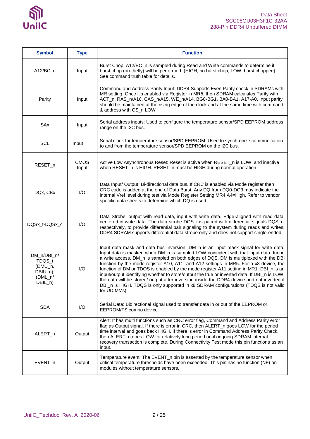

| <b>Symbol</b>                                                        | <b>Type</b>             | <b>Function</b>                                                                                                                                                                                                                                                                                                                                                                                                                                                                                                                                                                                                                                                                                                                                              |
|----------------------------------------------------------------------|-------------------------|--------------------------------------------------------------------------------------------------------------------------------------------------------------------------------------------------------------------------------------------------------------------------------------------------------------------------------------------------------------------------------------------------------------------------------------------------------------------------------------------------------------------------------------------------------------------------------------------------------------------------------------------------------------------------------------------------------------------------------------------------------------|
| $A12/BC_n$                                                           | Input                   | Burst Chop: A12/BC_n is sampled during Read and Write commands to determine if<br>burst chop (on-thefly) will be performed. (HIGH, no burst chop; LOW: burst chopped).<br>See command truth table for details.                                                                                                                                                                                                                                                                                                                                                                                                                                                                                                                                               |
| Parity                                                               | Input                   | Command and Address Parity Input: DDR4 Supports Even Parity check in SDRAMs with<br>MR setting. Once it's enabled via Register in MR5, then SDRAM calculates Parity with<br>ACT_n, RAS_n/A16, CAS_n/A15, WE_n/A14, BG0-BG1, BA0-BA1, A17-A0. Input parity<br>should be maintained at the rising edge of the clock and at the same time with command<br>& address with CS_n LOW                                                                                                                                                                                                                                                                                                                                                                               |
| SAx                                                                  | Input                   | Serial address inputs: Used to configure the temperature sensor/SPD EEPROM address<br>range on the I2C bus.                                                                                                                                                                                                                                                                                                                                                                                                                                                                                                                                                                                                                                                  |
| <b>SCL</b>                                                           | Input                   | Serial clock for temperature sensor/SPD EEPROM: Used to synchronize communication<br>to and from the temperature sensor/SPD EEPROM on the I2C bus.                                                                                                                                                                                                                                                                                                                                                                                                                                                                                                                                                                                                           |
| RESET_n                                                              | <b>CMOS</b><br>Input    | Active Low Asynchronous Reset: Reset is active when RESET_n is LOW, and inactive<br>when RESET_n is HIGH. RESET_n must be HIGH during normal operation.                                                                                                                                                                                                                                                                                                                                                                                                                                                                                                                                                                                                      |
| DQx, CBx                                                             | I/O                     | Data Input/ Output: Bi-directional data bus. If CRC is enabled via Mode register then<br>CRC code is added at the end of Data Burst. Any DQ from DQ0-DQ3 may indicate the<br>internal Vref level during test via Mode Register Setting MR4 A4=High. Refer to vendor<br>specific data sheets to determine which DQ is used.                                                                                                                                                                                                                                                                                                                                                                                                                                   |
| DQSx_t-DQSx_c                                                        | $\mathsf{I}/\mathsf{O}$ | Data Strobe: output with read data, input with write data. Edge-aligned with read data,<br>centered in write data. The data strobe DQS_t is paired with differential signals DQS_c,<br>respectively, to provide differential pair signaling to the system during reads and writes.<br>DDR4 SDRAM supports differential data strobe only and does not support single-ended.                                                                                                                                                                                                                                                                                                                                                                                   |
| DM_n/DBI_n/<br>TDQS_t<br>(DMU_n,<br>DBIU_n),<br>(DML_n/<br>$DBIL_n)$ | I/O                     | Input data mask and data bus inversion: DM_n is an input mask signal for write data.<br>Input data is masked when DM_n is sampled LOW coincident with that input data during<br>a write access. DM_n is sampled on both edges of DQS. DM is multiplexed with the DBI<br>function by the mode register A10, A11, and A12 settings in MR5. For a x8 device, the<br>function of DM or TDQS is enabled by the mode register A11 setting in MR1. DBI_n is an<br>input/output identifying whether to store/output the true or inverted data. If DBI_n is LOW,<br>the data will be stored/ output after inversion inside the DDR4 device and not inverted if<br>DBI_n is HIGH. TDQS is only supported in x8 SDRAM configurations (TDQS is not valid<br>for UDIMMs). |
| <b>SDA</b>                                                           | I/O                     | Serial Data: Bidirectional signal used to transfer data in or out of the EEPROM or<br>EEPROM/TS combo device.                                                                                                                                                                                                                                                                                                                                                                                                                                                                                                                                                                                                                                                |
| ALERT_n                                                              | Output                  | Alert: It has multi functions such as CRC error flag, Command and Address Parity error<br>flag as Output signal. If there is error in CRC, then ALERT n goes LOW for the period<br>time interval and goes back HIGH. If there is error in Command Address Parity Check,<br>then ALERT_n goes LOW for relatively long period until ongoing SDRAM internal<br>recovery transaction is complete. During Connectivity Test mode this pin functions as an<br>input.                                                                                                                                                                                                                                                                                               |
| EVENT_n                                                              | Output                  | Temperature event: The EVENT_n pin is asserted by the temperature sensor when<br>critical temperature thresholds have been exceeded. This pin has no function (NF) on<br>modules without temperature sensors.                                                                                                                                                                                                                                                                                                                                                                                                                                                                                                                                                |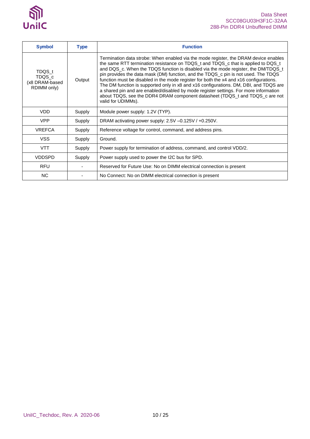

| <b>Symbol</b>                                     | <b>Type</b> | <b>Function</b>                                                                                                                                                                                                                                                                                                                                                                                                                                                                                                                                                                                                                                                                                                                         |
|---------------------------------------------------|-------------|-----------------------------------------------------------------------------------------------------------------------------------------------------------------------------------------------------------------------------------------------------------------------------------------------------------------------------------------------------------------------------------------------------------------------------------------------------------------------------------------------------------------------------------------------------------------------------------------------------------------------------------------------------------------------------------------------------------------------------------------|
| TDQS t<br>TDQS_c<br>(x8 DRAM-based<br>RDIMM only) | Output      | Termination data strobe: When enabled via the mode register, the DRAM device enables<br>the same RTT termination resistance on TDQS_t and TDQS_c that is applied to DQS_t<br>and DQS_c. When the TDQS function is disabled via the mode register, the DM/TDQS_t<br>pin provides the data mask (DM) function, and the TDQS_c pin is not used. The TDQS<br>function must be disabled in the mode register for both the x4 and x16 configurations.<br>The DM function is supported only in x8 and x16 configurations. DM, DBI, and TDQS are<br>a shared pin and are enabled/disabled by mode register settings. For more information<br>about TDQS, see the DDR4 DRAM component datasheet (TDQS_t and TDQS_c are not<br>valid for UDIMMs). |
| <b>VDD</b>                                        | Supply      | Module power supply: 1.2V (TYP).                                                                                                                                                                                                                                                                                                                                                                                                                                                                                                                                                                                                                                                                                                        |
| <b>VPP</b>                                        | Supply      | DRAM activating power supply: $2.5V - 0.125V / +0.250V$ .                                                                                                                                                                                                                                                                                                                                                                                                                                                                                                                                                                                                                                                                               |
| <b>VREFCA</b>                                     | Supply      | Reference voltage for control, command, and address pins.                                                                                                                                                                                                                                                                                                                                                                                                                                                                                                                                                                                                                                                                               |
| <b>VSS</b>                                        | Supply      | Ground.                                                                                                                                                                                                                                                                                                                                                                                                                                                                                                                                                                                                                                                                                                                                 |
| <b>VTT</b>                                        | Supply      | Power supply for termination of address, command, and control VDD/2.                                                                                                                                                                                                                                                                                                                                                                                                                                                                                                                                                                                                                                                                    |
| <b>VDDSPD</b>                                     | Supply      | Power supply used to power the I2C bus for SPD.                                                                                                                                                                                                                                                                                                                                                                                                                                                                                                                                                                                                                                                                                         |
| <b>RFU</b>                                        |             | Reserved for Future Use: No on DIMM electrical connection is present                                                                                                                                                                                                                                                                                                                                                                                                                                                                                                                                                                                                                                                                    |
| <b>NC</b>                                         |             | No Connect: No on DIMM electrical connection is present                                                                                                                                                                                                                                                                                                                                                                                                                                                                                                                                                                                                                                                                                 |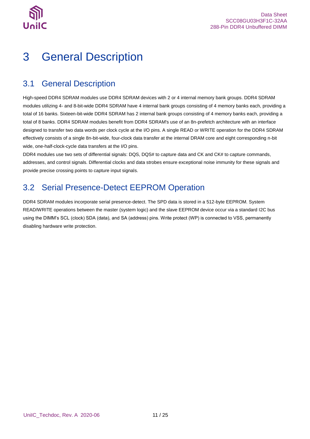

# <span id="page-10-0"></span>3 General Description

## <span id="page-10-1"></span>3.1 General Description

High-speed DDR4 SDRAM modules use DDR4 SDRAM devices with 2 or 4 internal memory bank groups. DDR4 SDRAM modules utilizing 4- and 8-bit-wide DDR4 SDRAM have 4 internal bank groups consisting of 4 memory banks each, providing a total of 16 banks. Sixteen-bit-wide DDR4 SDRAM has 2 internal bank groups consisting of 4 memory banks each, providing a total of 8 banks. DDR4 SDRAM modules benefit from DDR4 SDRAM's use of an 8n-prefetch architecture with an interface designed to transfer two data words per clock cycle at the I/O pins. A single READ or WRITE operation for the DDR4 SDRAM effectively consists of a single 8n-bit-wide, four-clock data transfer at the internal DRAM core and eight corresponding n-bit wide, one-half-clock-cycle data transfers at the I/O pins.

DDR4 modules use two sets of differential signals: DQS, DQS# to capture data and CK and CK# to capture commands, addresses, and control signals. Differential clocks and data strobes ensure exceptional noise immunity for these signals and provide precise crossing points to capture input signals.

## <span id="page-10-2"></span>3.2 Serial Presence-Detect EEPROM Operation

DDR4 SDRAM modules incorporate serial presence-detect. The SPD data is stored in a 512-byte EEPROM. System READ/WRITE operations between the master (system logic) and the slave EEPROM device occur via a standard I2C bus using the DIMM's SCL (clock) SDA (data), and SA (address) pins. Write protect (WP) is connected to VSS, permanently disabling hardware write protection.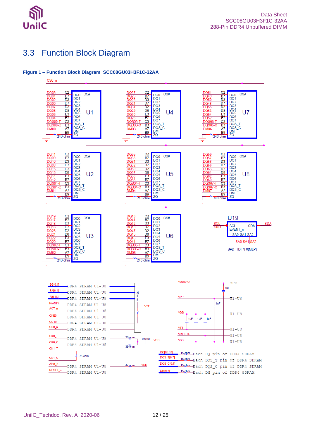

## <span id="page-11-0"></span>3.3 Function Block Diagram

#### <span id="page-11-1"></span>**Figure 1 – Function Block Diagram\_SCC08GU03H3F1C-32AA**

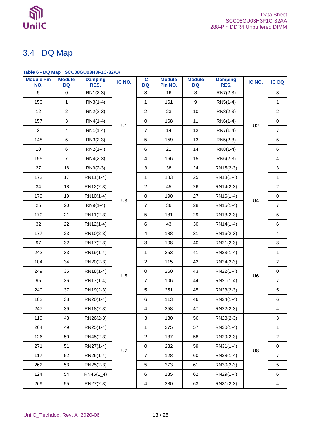

## <span id="page-12-0"></span>3.4 DQ Map

## <span id="page-12-1"></span>**Table 6 - DQ Map\_ SCC08GU03H3F1C-32AA**

| <b>Module Pin</b><br>NO. | <b>Module</b><br><b>DQ</b> | <b>Damping</b><br>RES. | IC NO.         | IC<br><b>DQ</b>           | <b>Module</b><br>Pin NO. | <b>Module</b><br><b>DQ</b> | <b>Damping</b><br>RES. | IC NO.         | <b>IC DQ</b>            |
|--------------------------|----------------------------|------------------------|----------------|---------------------------|--------------------------|----------------------------|------------------------|----------------|-------------------------|
| 5                        | $\mathbf 0$                | $RN1(2-3)$             |                | $\mathbf{3}$              | 16                       | 8                          | RN7(2-3)               |                | 3                       |
| 150                      | $\mathbf{1}$               | RN3(1-4)               |                | $\mathbf{1}$              | 161                      | $\boldsymbol{9}$           | $RN5(1-4)$             |                | $\mathbf{1}$            |
| 12                       | $\overline{2}$             | $RN2(2-3)$             |                | $\overline{2}$            | 23                       | 10                         | RN8(2-3)               |                | $\overline{a}$          |
| 157                      | $\mathsf 3$                | $RN4(1-4)$             | U1             | $\pmb{0}$                 | 168                      | 11                         | $RN6(1-4)$             |                | $\mathsf{O}\xspace$     |
| $\mathbf{3}$             | $\overline{\mathbf{4}}$    | $RN1(1-4)$             |                | $\overline{7}$            | 14                       | 12                         | RN7(1-4)               | U <sub>2</sub> | $\overline{7}$          |
| 148                      | $\sqrt{5}$                 | RN3(2-3)               |                | $\,$ 5 $\,$               | 159                      | 13                         | $RN5(2-3)$             |                | $\mathbf 5$             |
| 10                       | $\,6$                      | $RN2(1-4)$             |                | $\,6\,$                   | 21                       | 14                         | RN8(1-4)               |                | $\,6\,$                 |
| 155                      | $\boldsymbol{7}$           | $RN4(2-3)$             |                | $\overline{4}$            | 166                      | 15                         | $RN6(2-3)$             |                | $\overline{4}$          |
| 27                       | 16                         | $RN9(2-3)$             |                | $\sqrt{3}$                | 38                       | 24                         | RN15(2-3)              |                | $\mathbf{3}$            |
| 172                      | 17                         | RN11(1-4)              |                | $\mathbf{1}$              | 183                      | 25                         | RN13(1-4)              |                | $\mathbf{1}$            |
| 34                       | 18                         | RN12(2-3)              |                | $\overline{c}$            | 45                       | 26                         | RN14(2-3)              |                | $\overline{2}$          |
| 179                      | 19                         | RN10(1-4)              |                | $\mathbf 0$               | 190                      | 27                         | RN16(1-4)              |                | $\mathbf 0$             |
| 25                       | 20                         | $RN9(1-4)$             | U <sub>3</sub> | $\overline{7}$            | 36                       | 28                         | RN15(1-4)              | U4             | $\overline{7}$          |
| 170                      | 21                         | RN11(2-3)              |                | $\,$ 5 $\,$               | 181                      | 29                         | RN13(2-3)              |                | $\mathbf 5$             |
| 32                       | 22                         | RN12(1-4)              |                | $\,6\,$                   | 43                       | 30                         | RN14(1-4)              |                | $\,6\,$                 |
| 177                      | 23                         | RN10(2-3)              |                | $\overline{4}$            | 188                      | 31                         | RN16(2-3)              |                | $\overline{4}$          |
| 97                       | 32                         | RN17(2-3)              |                | $\ensuremath{\mathsf{3}}$ | 108                      | 40                         | RN21(2-3)              |                | $\mathbf{3}$            |
| 242                      | 33                         | RN19(1-4)              |                | $\mathbf{1}$              | 253                      | 41                         | RN23(1-4)              |                | $\mathbf{1}$            |
| 104                      | 34                         | RN20(2-3)              |                | $\boldsymbol{2}$          | 115                      | 42                         | RN24(2-3)              |                | $\overline{a}$          |
| 249                      | 35                         | RN18(1-4)              | U <sub>5</sub> | $\mathbf 0$               | 260                      | 43                         | RN22(1-4)              | U6             | $\mathbf 0$             |
| 95                       | 36                         | RN17(1-4)              |                | $\overline{7}$            | 106                      | 44                         | RN21(1-4)              |                | $\overline{7}$          |
| 240                      | 37                         | RN19(2-3)              |                | $\mathbf 5$               | 251                      | 45                         | RN23(2-3)              |                | $\sqrt{5}$              |
| 102                      | 38                         | RN20(1-4)              |                | $\,6\,$                   | 113                      | 46                         | RN24(1-4)              |                | $\,6$                   |
| 247                      | 39                         | RN18(2-3)              |                | $\overline{\mathbf{4}}$   | 258                      | 47                         | RN22(2-3)              |                | $\overline{\mathbf{4}}$ |
| 119                      | 48                         | RN26(2-3)              |                | $\mathfrak{Z}$            | 130                      | 56                         | RN28(2-3)              |                | 3                       |
| 264                      | 49                         | RN25(1-4)              |                | $\mathbf{1}$              | 275                      | 57                         | RN30(1-4)              |                | $\mathbf{1}$            |
| 126                      | 50                         | RN45(2-3)              |                | $\boldsymbol{2}$          | 137                      | 58                         | RN29(2-3)              |                | $\overline{a}$          |
| 271                      | 51                         | RN27(1-4)              | U7             | $\pmb{0}$                 | 282                      | 59                         | RN31(1-4)              | U8             | $\mathbf 0$             |
| 117                      | 52                         | RN26(1-4)              |                | $\overline{7}$            | 128                      | 60                         | RN28(1-4)              |                | $\overline{7}$          |
| 262                      | 53                         | RN25(2-3)              |                | $\mathbf 5$               | 273                      | 61                         | RN30(2-3)              |                | $\mathbf 5$             |
| 124                      | 54                         | $RN45(1_4)$            |                | $\,6\,$                   | 135                      | 62                         | RN29(1-4)              |                | 6                       |
| 269                      | 55                         | RN27(2-3)              |                | $\overline{4}$            | 280                      | 63                         | RN31(2-3)              |                | $\overline{4}$          |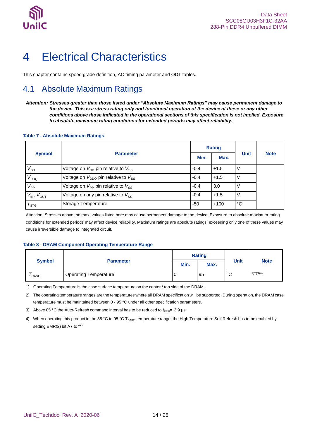

# <span id="page-13-0"></span>4 Electrical Characteristics

This chapter contains speed grade definition, AC timing parameter and ODT tables.

## <span id="page-13-1"></span>4.1 Absolute Maximum Ratings

*Attention: Stresses greater than those listed under "Absolute Maximum Ratings" may cause permanent damage to the device. This is a stress rating only and functional operation of the device at these or any other conditions above those indicated in the operational sections of this specification is not implied. Exposure to absolute maximum rating conditions for extended periods may affect reliability.*

#### <span id="page-13-2"></span>**Table 7 - Absolute Maximum Ratings**

| <b>Symbol</b>        |                                                            |        | <b>Rating</b> | <b>Unit</b>  | <b>Note</b> |
|----------------------|------------------------------------------------------------|--------|---------------|--------------|-------------|
|                      | <b>Parameter</b>                                           | Min.   | Max.          |              |             |
| $V_{DD}$             | Voltage on $V_{\text{DD}}$ pin relative to $V_{\text{SS}}$ | $-0.4$ | $+1.5$        |              |             |
| $V_{DDQ}$            | Voltage on $V_{DDQ}$ pin relative to $V_{SS}$              | $-0.4$ | $+1.5$        |              |             |
| $V_{\rm PP}$         | Voltage on $V_{PP}$ pin relative to $V_{SS}$               | $-0.4$ | 3.0           |              |             |
| $V_{IN}$ , $V_{OUT}$ | Voltage on any pin relative to $V_{ss}$                    | $-0.4$ | $+1.5$        |              |             |
| $T_{\text{STG}}$     | Storage Temperature                                        | $-50$  | $+100$        | $^{\circ}$ C |             |

Attention: Stresses above the max. values listed here may cause permanent damage to the device. Exposure to absolute maximum rating conditions for extended periods may affect device reliability. Maximum ratings are absolute ratings; exceeding only one of these values may cause irreversible damage to integrated circuit.

#### <span id="page-13-3"></span>**Table 8 - DRAM Component Operating Temperature Range**

|                   | <b>Parameter</b>             | <b>Rating</b> |      |      |             |
|-------------------|------------------------------|---------------|------|------|-------------|
| <b>Symbol</b>     |                              | Min.          | Max. | Unit | <b>Note</b> |
| <sup>'</sup> CASE | <b>Operating Temperature</b> | U             | 95   | °С   | 1(2)3(4)    |

1) Operating Temperature is the case surface temperature on the center / top side of the DRAM.

2) The operating temperature ranges are the temperatures where all DRAM specification will be supported. During operation, the DRAM case temperature must be maintained between 0 - 95 °C under all other specification parameters.

3) Above 85 °C the Auto-Refresh command interval has to be reduced to  $t_{\text{REF}}$  = 3.9 µs

4) When operating this product in the 85 °C to 95 °C T<sub>CASE</sub> temperature range, the High Temperature Self Refresh has to be enabled by setting EMR(2) bit A7 to "1".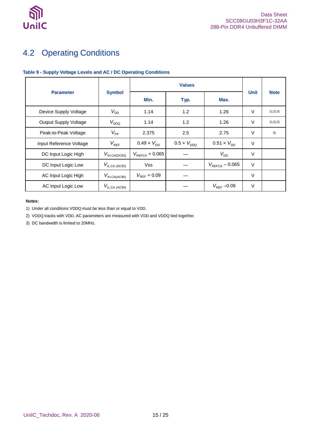

## <span id="page-14-0"></span>4.2 Operating Conditions

<span id="page-14-1"></span>

|                              |                           | <b>Values</b>              |                      |                             |        |             |
|------------------------------|---------------------------|----------------------------|----------------------|-----------------------------|--------|-------------|
| <b>Parameter</b>             | <b>Symbol</b>             | Min.                       | Typ.                 | Max.                        | Unit   | <b>Note</b> |
| Device Supply Voltage        | $V_{DD}$                  | 1.14                       | 1.2                  | 1.26                        | V      | 1), 2), 3)  |
| <b>Output Supply Voltage</b> | $V_{DDQ}$                 | 1.14                       | 1.2                  | 1.26                        | V      | 1), 2), 3)  |
| Peak-to-Peak Voltage         | $V_{\rm PP}$              | 2.375                      | 2.5                  | 2.75                        | V      | 3)          |
| Input Reference Voltage      | $V_{REF}$                 | $0.49 \times V_{DD}$       | $0.5 \times V_{DDQ}$ | $0.51 \times V_{\text{DD}}$ | V      |             |
| DC Input Logic High          | $V_{\text{IH.CA(DC65)}}$  | $V_{\text{REFCA}} + 0.065$ |                      | $V_{DD}$                    | V      |             |
| DC Input Logic Low           | $V_{\text{ILCA (DC65)}}$  | <b>Vss</b>                 |                      | $V_{\text{REFCA}} - 0.065$  | $\vee$ |             |
| AC Input Logic High          | $V_{\text{IH.CA(AC90)}}$  | $V_{REF}$ + 0.09           |                      |                             | $\vee$ |             |
| AC Input Logic Low           | $V_{\text{IL,CA (AC90)}}$ |                            |                      | $V_{REF}$ -0.09             | V      |             |

#### **Notes:**

1) Under all conditions VDDQ must be less than or equal to VDD.

2) VDDQ tracks with VDD. AC parameters are measured with VDD and VDDQ tied together.

3) DC bandwidth is limited to 20MHz.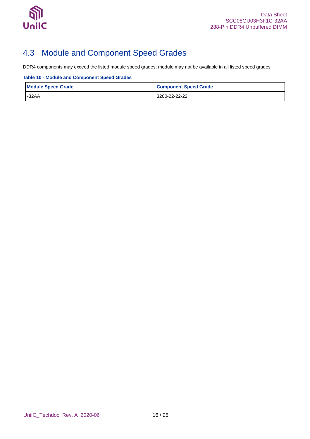

## <span id="page-15-0"></span>4.3 Module and Component Speed Grades

DDR4 components may exceed the listed module speed grades; module may not be available in all listed speed grades

<span id="page-15-1"></span>**Table 10 - Module and Component Speed Grades**

| <b>Module Speed Grade</b> | <b>Component Speed Grade</b> |
|---------------------------|------------------------------|
| $-32AA$                   | 3200-22-22-22                |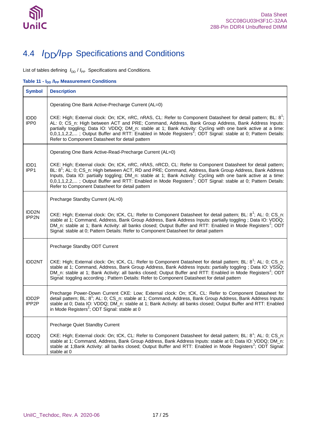

## <span id="page-16-0"></span>4.4 *I*DD*/I*PP Specifications and Conditions

List of tables defining  $I_{\text{DD}}/I_{\text{PP}}$  Specifications and Conditions.

<span id="page-16-1"></span>**Table 11 -**  $I_{DD}$  **/I<sub>PP</sub> Measurement Conditions** 

| <b>Symbol</b>                           | <b>Description</b>                                                                                                                                                                                                                                                                                                                                                                                                                                                                                                              |
|-----------------------------------------|---------------------------------------------------------------------------------------------------------------------------------------------------------------------------------------------------------------------------------------------------------------------------------------------------------------------------------------------------------------------------------------------------------------------------------------------------------------------------------------------------------------------------------|
|                                         | Operating One Bank Active-Precharge Current (AL=0)                                                                                                                                                                                                                                                                                                                                                                                                                                                                              |
| IDD <sub>0</sub><br>IPP <sub>0</sub>    | CKE: High; External clock: On; tCK, nRC, nRAS, CL: Refer to Component Datasheet for detail pattern; BL: 8 <sup>1</sup> ;<br>AL: 0; CS_n: High between ACT and PRE; Command, Address, Bank Group Address, Bank Address Inputs:<br>partially toggling; Data IO: VDDQ; DM_n: stable at 1; Bank Activity: Cycling with one bank active at a time:<br>0,0,1,1,2,2,; Output Buffer and RTT: Enabled in Mode Registers <sup>2</sup> ; ODT Signal: stable at 0; Pattern Details:<br>Refer to Component Datasheet for detail pattern     |
|                                         | Operating One Bank Active-Read-Precharge Current (AL=0)                                                                                                                                                                                                                                                                                                                                                                                                                                                                         |
| IDD <sub>1</sub><br>IPP <sub>1</sub>    | CKE: High; External clock: On; tCK, nRC, nRAS, nRCD, CL: Refer to Component Datasheet for detail pattern;<br>BL: 8 <sup>1</sup> ; AL: 0; CS_n: High between ACT, RD and PRE; Command, Address, Bank Group Address, Bank Address<br>Inputs, Data IO: partially toggling; DM_n: stable at 1; Bank Activity: Cycling with one bank active at a time:<br>0,0,1,1,2,2,; Output Buffer and RTT: Enabled in Mode Registers <sup>2</sup> ; ODT Signal: stable at 0; Pattern Details:<br>Refer to Component Datasheet for detail pattern |
|                                         | Precharge Standby Current (AL=0)                                                                                                                                                                                                                                                                                                                                                                                                                                                                                                |
| IDD <sub>2N</sub><br>IPP2N              | CKE: High; External clock: On; tCK, CL: Refer to Component Datasheet for detail pattern; BL: 8 <sup>1</sup> ; AL: 0; CS_n:<br>stable at 1; Command, Address, Bank Group Address, Bank Address Inputs: partially toggling ; Data IO: VDDQ;<br>DM_n: stable at 1; Bank Activity: all banks closed; Output Buffer and RTT: Enabled in Mode Registers <sup>2</sup> ; ODT<br>Signal: stable at 0; Pattern Details: Refer to Component Datasheet for detail pattern                                                                   |
|                                         | Precharge Standby ODT Current                                                                                                                                                                                                                                                                                                                                                                                                                                                                                                   |
| <b>IDD2NT</b>                           | CKE: High; External clock: On; tCK, CL: Refer to Component Datasheet for detail pattern; BL: 8 <sup>1</sup> ; AL: 0; CS_n:<br>stable at 1; Command, Address, Bank Group Address, Bank Address Inputs: partially toggling ; Data IO: VSSQ;<br>DM_n: stable at 1; Bank Activity: all banks closed; Output Buffer and RTT: Enabled in Mode Registers <sup>2</sup> ; ODT<br>Signal: toggling according; Pattern Details: Refer to Component Datasheet for detail pattern                                                            |
| IDD <sub>2</sub> P<br>IPP <sub>2P</sub> | Precharge Power-Down Current CKE: Low; External clock: On; tCK, CL: Refer to Component Datasheet for<br>detail pattern; BL: 8 <sup>1</sup> ; AL: 0; CS_n: stable at 1; Command, Address, Bank Group Address, Bank Address Inputs:<br>stable at 0; Data IO: VDDQ; DM n: stable at 1; Bank Activity: all banks closed; Output Buffer and RTT: Enabled<br>in Mode Registers <sup>2</sup> ; ODT Signal: stable at 0                                                                                                                 |
|                                         | Precharge Quiet Standby Current                                                                                                                                                                                                                                                                                                                                                                                                                                                                                                 |
| IDD <sub>2Q</sub>                       | CKE: High; External clock: On; tCK, CL: Refer to Component Datasheet for detail pattern; BL: 8 <sup>1</sup> ; AL: 0; CS_n:<br>stable at 1; Command, Address, Bank Group Address, Bank Address Inputs: stable at 0; Data IO: VDDQ; DM_n:<br>stable at 1; Bank Activity: all banks closed; Output Buffer and RTT: Enabled in Mode Registers <sup>2</sup> ; ODT Signal:<br>stable at 0                                                                                                                                             |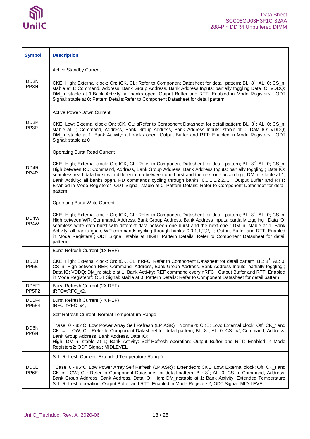

| <b>Symbol</b>               | <b>Description</b>                                                                                                                                                                                                                                                                                                                                                                                                                                                                                                                                                                                          |
|-----------------------------|-------------------------------------------------------------------------------------------------------------------------------------------------------------------------------------------------------------------------------------------------------------------------------------------------------------------------------------------------------------------------------------------------------------------------------------------------------------------------------------------------------------------------------------------------------------------------------------------------------------|
|                             | <b>Active Standby Current</b>                                                                                                                                                                                                                                                                                                                                                                                                                                                                                                                                                                               |
| IDD3N<br>IPP3N              | CKE: High; External clock: On; tCK, CL: Refer to Component Datasheet for detail pattern; BL: 8 <sup>1</sup> ; AL: 0; CS_n:<br>stable at 1; Command, Address, Bank Group Address, Bank Address Inputs: partially toggling Data IO: VDDQ;<br>DM_n: stable at 1;Bank Activity: all banks open; Output Buffer and RTT: Enabled in Mode Registers <sup>2</sup> ; ODT<br>Signal: stable at 0; Pattern Details: Refer to Component Datasheet for detail pattern                                                                                                                                                    |
|                             | <b>Active Power-Down Current</b>                                                                                                                                                                                                                                                                                                                                                                                                                                                                                                                                                                            |
| <b>IDD3P</b><br>IPP3P       | CKE: Low; External clock: On; tCK, CL: sRefer to Component Datasheet for detail pattern; BL: 8 <sup>1</sup> ; AL: 0; CS_n:<br>stable at 1; Command, Address, Bank Group Address, Bank Address Inputs: stable at 0; Data IO: VDDQ;<br>DM_n: stable at 1; Bank Activity: all banks open; Output Buffer and RTT: Enabled in Mode Registers <sup>2</sup> ; ODT<br>Signal: stable at 0                                                                                                                                                                                                                           |
|                             | <b>Operating Burst Read Current</b>                                                                                                                                                                                                                                                                                                                                                                                                                                                                                                                                                                         |
| IDD4R<br>IPP4R              | CKE: High; External clock: On; tCK, CL: Refer to Component Datasheet for detail pattern; BL: 8 <sup>2</sup> ; AL: 0; CS_n:<br>High between RD; Command, Address, Bank Group Address, Bank Address Inputs: partially toggling ; Data IO:<br>seamless read data burst with different data between one burst and the next one according; DM_n: stable at 1;<br>Bank Activity: all banks open, RD commands cycling through banks: 0,0,1,1,2,2,; Output Buffer and RTT:<br>Enabled in Mode Registers <sup>2</sup> ; ODT Signal: stable at 0; Pattern Details: Refer to Component Datasheet for detail<br>pattern |
|                             | <b>Operating Burst Write Current</b>                                                                                                                                                                                                                                                                                                                                                                                                                                                                                                                                                                        |
| IDD4W<br>IPP4W              | CKE: High; External clock: On; tCK, CL: Refer to Component Datasheet for detail pattern; BL: 8 <sup>1</sup> ; AL: 0; CS_n:<br>High between WR; Command, Address, Bank Group Address, Bank Address Inputs: partially toggling; Data IO:<br>seamless write data burst with different data between one burst and the next one; DM_n: stable at 1; Bank<br>Activity: all banks open, WR commands cycling through banks: 0,0,1,1,2,2,; Output Buffer and RTT: Enabled<br>in Mode Registers <sup>2</sup> ; ODT Signal: stable at HIGH; Pattern Details: Refer to Component Datasheet for detail<br>pattern        |
|                             | Burst Refresh Current (1X REF)                                                                                                                                                                                                                                                                                                                                                                                                                                                                                                                                                                              |
| IDD5B<br>IPP <sub>5</sub> B | CKE: High; External clock: On; tCK, CL, nRFC: Refer to Component Datasheet for detail pattern; BL: 8 <sup>1</sup> ; AL: 0;<br>CS_n: High between REF; Command, Address, Bank Group Address, Bank Address Inputs: partially toggling;<br>Data IO: VDDQ; DM_n: stable at 1; Bank Activity: REF command every nRFC; Output Buffer and RTT: Enabled<br>in Mode Registers <sup>2</sup> ; ODT Signal: stable at 0; Pattern Details: Refer to Component Datasheet for detail pattern                                                                                                                               |
| IDD5F2<br>IPP5F2            | Burst Refresh Current (2X REF)<br>tRFC=tRFC_x2,                                                                                                                                                                                                                                                                                                                                                                                                                                                                                                                                                             |
| IDD5F4<br>IPP5F4            | Burst Refresh Current (4X REF)<br>tRFC=tRFC x4,                                                                                                                                                                                                                                                                                                                                                                                                                                                                                                                                                             |
|                             | Self Refresh Current: Normal Temperature Range                                                                                                                                                                                                                                                                                                                                                                                                                                                                                                                                                              |
| IDD6N<br>IPP6N              | Tcase: 0 - 85°C; Low Power Array Self Refresh (LP ASR) : Normal4; CKE: Low; External clock: Off; CK_t and<br>CK_c#: LOW; CL: Refer to Component Datasheet for detail pattern; BL: $8^1$ ; AL: 0; CS_n#, Command, Address,<br>Bank Group Address, Bank Address, Data IO:<br>High; DM n: stable at 1; Bank Activity: Self-Refresh operation; Output Buffer and RTT: Enabled in Mode<br>Registers2; ODT Signal: MIDLEVEL                                                                                                                                                                                       |
|                             | Self-Refresh Current: Extended Temperature Range)                                                                                                                                                                                                                                                                                                                                                                                                                                                                                                                                                           |
| IDD6E<br>IPP6E              | TCase: 0 - 95°C; Low Power Array Self Refresh (LP ASR) : Extended4; CKE: Low; External clock: Off; CK_t and<br>CK_c: LOW; CL: Refer to Component Datasheet for detail pattern; BL: 8 <sup>1</sup> ; AL: 0; CS_n, Command, Address,<br>Bank Group Address, Bank Address, Data IO: High; DM_n:stable at 1; Bank Activity: Extended Temperature<br>Self-Refresh operation; Output Buffer and RTT: Enabled in Mode Registers2; ODT Signal: MID-LEVEL                                                                                                                                                            |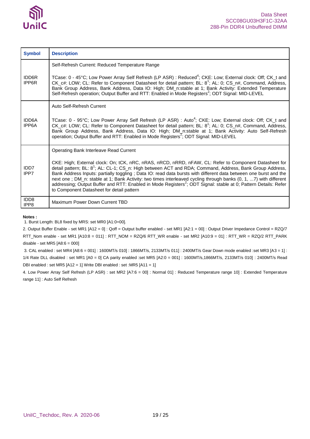

| <b>Symbol</b>            | <b>Description</b>                                                                                                                                                                                                                                                                                                                                                                                                                                                                                                                                                                                                                                                                          |
|--------------------------|---------------------------------------------------------------------------------------------------------------------------------------------------------------------------------------------------------------------------------------------------------------------------------------------------------------------------------------------------------------------------------------------------------------------------------------------------------------------------------------------------------------------------------------------------------------------------------------------------------------------------------------------------------------------------------------------|
| <b>IDD6R</b><br>IPP6R    | Self-Refresh Current: Reduced Temperature Range<br>TCase: 0 - 45°C; Low Power Array Self Refresh (LP ASR) : Reduced <sup>4</sup> ; CKE: Low; External clock: Off; CK_t and<br>CK_c#: LOW; CL: Refer to Component Datasheet for detail pattern; BL: 8 <sup>1</sup> ; AL: 0; CS_n#, Command, Address,<br>Bank Group Address, Bank Address, Data IO: High; DM_n:stable at 1; Bank Activity: Extended Temperature<br>Self-Refresh operation; Output Buffer and RTT: Enabled in Mode Registers <sup>2</sup> ; ODT Signal: MID-LEVEL                                                                                                                                                              |
| <b>IDD6A</b><br>IPP6A    | Auto Self-Refresh Current<br>TCase: 0 - 95°C; Low Power Array Self Refresh (LP ASR) : Auto <sup>4</sup> ; CKE: Low; External clock: Off; CK_t and<br>CK_c#: LOW; CL: Refer to Component Datasheet for detail pattern; BL: 8 <sup>1</sup> ; AL: 0; CS_n#, Command, Address,<br>Bank Group Address, Bank Address, Data IO: High; DM_n:stable at 1; Bank Activity: Auto Self-Refresh<br>operation; Output Buffer and RTT: Enabled in Mode Registers <sup>2</sup> ; ODT Signal: MID-LEVEL                                                                                                                                                                                                       |
| IDD <sub>7</sub><br>IPP7 | Operating Bank Interleave Read Current<br>CKE: High; External clock: On; tCK, nRC, nRAS, nRCD, nRRD, nFAW, CL: Refer to Component Datasheet for<br>detail pattern; BL: 8 <sup>1</sup> ; AL: CL-1; CS_n: High between ACT and RDA; Command, Address, Bank Group Address,<br>Bank Address Inputs: partially toggling; Data IO: read data bursts with different data between one burst and the<br>next one; DM_n: stable at 1; Bank Activity: two times interleaved cycling through banks (0, 1, 7) with different<br>addressing; Output Buffer and RTT: Enabled in Mode Registers <sup>2</sup> ; ODT Signal: stable at 0; Pattern Details: Refer<br>to Component Datasheet for detail pattern |
| IDD <sub>8</sub><br>IPP8 | Maximum Power Down Current TBD                                                                                                                                                                                                                                                                                                                                                                                                                                                                                                                                                                                                                                                              |

**Notes :**

1. Burst Length: BL8 fixed by MRS: set MR0 [A1:0=00].

2. Output Buffer Enable - set MR1 [A12 = 0] : Qoff = Output buffer enabled - set MR1 [A2:1 = 00] : Output Driver Impedance Control = RZQ/7 RTT\_Nom enable - set MR1 [A10:8 = 011] : RTT\_NOM = RZQ/6 RTT\_WR enable - set MR2 [A10:9 = 01] : RTT\_WR = RZQ/2 RTT\_PARK disable - set MR5  $[A8:6 = 000]$ 

3. CAL enabled : set MR4 [A8:6 = 001] : 1600MT/s 010] : 1866MT/s, 2133MT/s 011] : 2400MT/s Gear Down mode enabled :set MR3 [A3 = 1] : 1/4 Rate DLL disabled : set MR1 [A0 = 0] CA parity enabled :set MR5 [A2:0 = 001] : 1600MT/s,1866MT/s, 2133MT/s 010] : 2400MT/s Read DBI enabled : set MR5 [A12 = 1] Write DBI enabled : set :MR5 [A11 = 1]

4. Low Power Array Self Refresh (LP ASR) : set MR2 [A7:6 = 00] : Normal 01] : Reduced Temperature range 10] : Extended Temperature range 11] : Auto Self Refresh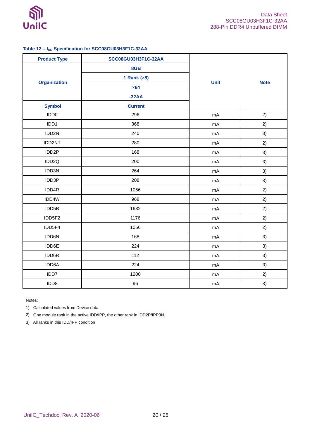

## <span id="page-19-0"></span>Table 12 -  $I_{DD}$  Specification for SCC08GU03H3F1C-32AA

| <b>Product Type</b> | SCC08GU03H3F1C-32AA |             |             |  |
|---------------------|---------------------|-------------|-------------|--|
|                     | 8GB                 |             |             |  |
|                     | 1 Rank $(x8)$       |             |             |  |
| <b>Organization</b> | $\times 64$         | <b>Unit</b> | <b>Note</b> |  |
|                     | $-32AA$             |             |             |  |
| <b>Symbol</b>       | <b>Current</b>      |             |             |  |
| IDD <sub>0</sub>    | 296                 | mA          | 2)          |  |
| IDD1                | 368                 | mA          | 2)          |  |
| IDD2N               | 240                 | mA          | 3)          |  |
| IDD2NT              | 280                 | mA          | 2)          |  |
| IDD <sub>2</sub> P  | 168                 | mA          | 3)          |  |
| IDD2Q               | 200                 | mA          | 3)          |  |
| IDD3N               | 264                 | mA          | 3)          |  |
| IDD3P               | 208                 | mA          | 3)          |  |
| IDD4R               | 1056                | mA          | 2)          |  |
| IDD4W               | 968                 | mA          | 2)          |  |
| IDD5B               | 1632                | mA          | 2)          |  |
| IDD5F2              | 1176                | mA          | 2)          |  |
| IDD5F4              | 1056                | mA          | 2)          |  |
| IDD6N               | 168                 | mA          | 3)          |  |
| IDD6E               | 224                 | mA          | 3)          |  |
| IDD6R               | 112                 | mA          | 3)          |  |
| IDD6A               | 224                 | mA          | 3)          |  |
| IDD7                | 1200                | mA          | 2)          |  |
| IDD8                | 96                  | mA          | 3)          |  |

Notes:

1) Calculated values from Device data.

2) One module rank in the active IDD/IPP, the other rank in IDD2P/IPP3N.

3) All ranks in this IDD/IPP condition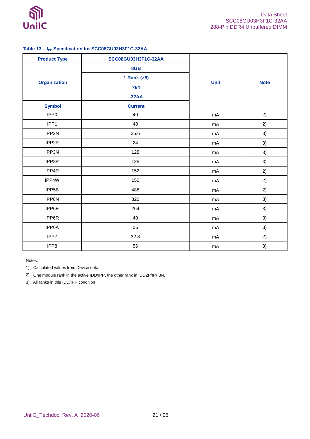

## <span id="page-20-0"></span>**Table 13 – IPP Specification for SCC08GU03H3F1C-32AA**

| <b>Product Type</b> | SCC08GU03H3F1C-32AA |             |             |  |
|---------------------|---------------------|-------------|-------------|--|
|                     | 8GB                 |             |             |  |
|                     | 1 Rank $(x8)$       |             |             |  |
| <b>Organization</b> | $\times 64$         | <b>Unit</b> | <b>Note</b> |  |
|                     | $-32AA$             |             |             |  |
| <b>Symbol</b>       | <b>Current</b>      |             |             |  |
| IPP <sub>0</sub>    | 40                  | mA          | 2)          |  |
| IPP1                | 48                  | mA          | 2)          |  |
| IPP2N               | 25.6                | mA          | 3)          |  |
| IPP2P               | 24                  | mA          | 3)          |  |
| IPP3N               | 128                 | mA          | 3)          |  |
| IPP3P               | 128                 | mA          | 3)          |  |
| IPP4R               | 152                 | mA          | 2)          |  |
| IPP4W               | 152                 | mA          | 2)          |  |
| IPP5B               | 488                 | mA          | 2)          |  |
| IPP6N               | 320                 | mA          | 3)          |  |
| IPP6E               | 264                 | mA          | 3)          |  |
| IPP6R               | 40                  | mA          | 3)          |  |
| IPP6A               | 56                  | mA          | 3)          |  |
| IPP7                | 32.8                | mA          | 2)          |  |
| IPP8                | 56                  | mA          | 3)          |  |

Notes:

1) Calculated values from Device data.

2) One module rank in the active IDD/IPP, the other rank in IDD2P/IPP3N.

3) All ranks in this IDD/IPP condition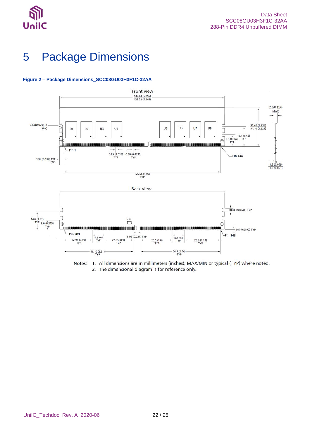

# <span id="page-21-0"></span>5 Package Dimensions

#### <span id="page-21-1"></span>**Figure 2 – Package Dimensions\_SCC08GU03H3F1C-32AA**



Notes: 1. All dimensions are in millimeters (inches); MAX/MIN or typical (TYP) where noted. 2. The dimensional diagram is for reference only.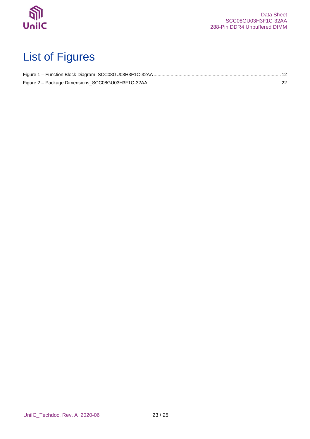

# <span id="page-22-0"></span>List of Figures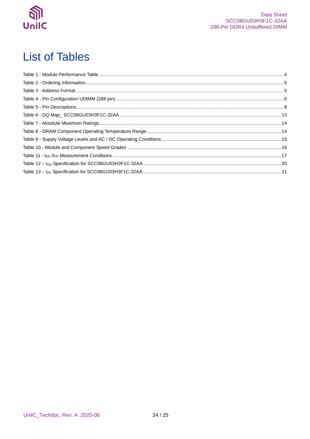

# <span id="page-23-0"></span>**List of Tables**